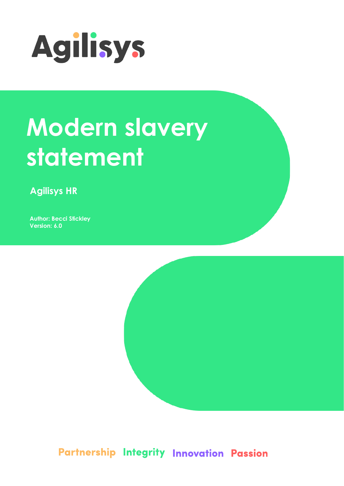

# **Modern slavery** statement

**Agilisys HR** 

**Author: Becci Stickley** Version: 6.0



Partnership Integrity Innovation Passion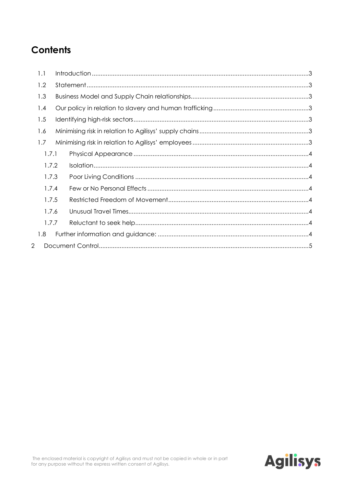## **Contents**

|       | 1.1   |  |  |  |  |  |  |
|-------|-------|--|--|--|--|--|--|
|       | 1.2   |  |  |  |  |  |  |
|       | 1.3   |  |  |  |  |  |  |
|       | 1.4   |  |  |  |  |  |  |
|       | 1.5   |  |  |  |  |  |  |
|       | 1.6   |  |  |  |  |  |  |
|       | 1.7   |  |  |  |  |  |  |
|       | 1.7.1 |  |  |  |  |  |  |
|       | 1.7.2 |  |  |  |  |  |  |
| 1.7.3 |       |  |  |  |  |  |  |
| 1.7.4 |       |  |  |  |  |  |  |
| 1.7.5 |       |  |  |  |  |  |  |
|       | 1.7.6 |  |  |  |  |  |  |
|       | 1.7.7 |  |  |  |  |  |  |
|       | 1.8   |  |  |  |  |  |  |
| 2     |       |  |  |  |  |  |  |

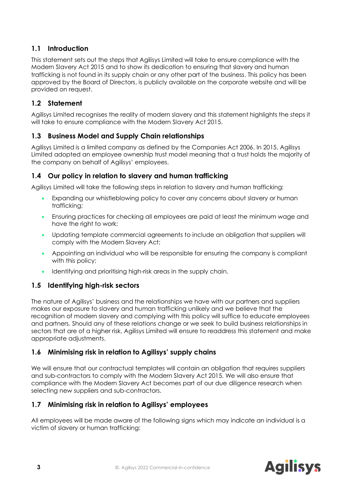#### <span id="page-2-0"></span>**1.1 Introduction**

This statement sets out the steps that Agilisys Limited will take to ensure compliance with the Modern Slavery Act 2015 and to show its dedication to ensuring that slavery and human trafficking is not found in its supply chain or any other part of the business. This policy has been approved by the Board of Directors, is publicly available on the corporate website and will be provided on request.

#### <span id="page-2-1"></span>**1.2 Statement**

Agilisys Limited recognises the reality of modern slavery and this statement highlights the steps it will take to ensure compliance with the Modern Slavery Act 2015.

#### <span id="page-2-2"></span>**1.3 Business Model and Supply Chain relationships**

Agilisys Limited is a limited company as defined by the Companies Act 2006. In 2015, Agilisys Limited adopted an employee ownership trust model meaning that a trust holds the majority of the company on behalf of Agilisys' employees.

#### <span id="page-2-3"></span>**1.4 Our policy in relation to slavery and human trafficking**

Agilisys Limited will take the following steps in relation to slavery and human trafficking:

- Expanding our whistleblowing policy to cover any concerns about slavery or human trafficking;
- Ensuring practices for checking all employees are paid at least the minimum wage and have the right to work;
- Updating template commercial agreements to include an obligation that suppliers will comply with the Modern Slavery Act;
- Appointing an individual who will be responsible for ensuring the company is compliant with this policy;
- Identifying and prioritising high-risk areas in the supply chain.

#### <span id="page-2-4"></span>**1.5 Identifying high-risk sectors**

The nature of Agilisys' business and the relationships we have with our partners and suppliers makes our exposure to slavery and human trafficking unlikely and we believe that the recognition of modern slavery and complying with this policy will suffice to educate employees and partners. Should any of these relations change or we seek to build business relationships in sectors that are of a higher risk, Agilisys Limited will ensure to readdress this statement and make appropriate adjustments.

#### <span id="page-2-5"></span>**1.6 Minimising risk in relation to Agilisys' supply chains**

We will ensure that our contractual templates will contain an obligation that requires suppliers and sub-contractors to comply with the Modern Slavery Act 2015. We will also ensure that compliance with the Modern Slavery Act becomes part of our due diligence research when selecting new suppliers and sub-contractors.

#### <span id="page-2-6"></span>**1.7 Minimising risk in relation to Agilisys' employees**

All employees will be made aware of the following signs which may indicate an individual is a victim of slavery or human trafficking:

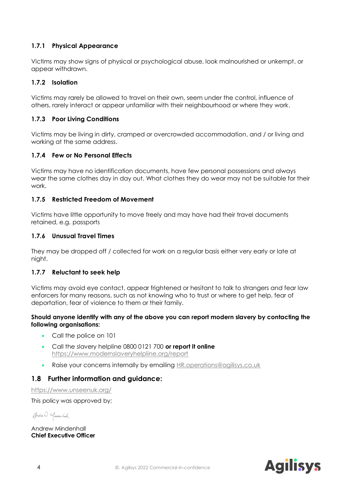#### <span id="page-3-0"></span>**1.7.1 Physical Appearance**

Victims may show signs of physical or psychological abuse, look malnourished or unkempt, or appear withdrawn.

#### <span id="page-3-1"></span>**1.7.2 Isolation**

Victims may rarely be allowed to travel on their own, seem under the control, influence of others, rarely interact or appear unfamiliar with their neighbourhood or where they work.

#### <span id="page-3-2"></span>**1.7.3 Poor Living Conditions**

Victims may be living in dirty, cramped or overcrowded accommodation, and / or living and working at the same address.

#### <span id="page-3-3"></span>**1.7.4 Few or No Personal Effects**

Victims may have no identification documents, have few personal possessions and always wear the same clothes day in day out. What clothes they do wear may not be suitable for their work.

#### <span id="page-3-4"></span>**1.7.5 Restricted Freedom of Movement**

Victims have little opportunity to move freely and may have had their travel documents retained, e.g. passports

#### <span id="page-3-5"></span>**1.7.6 Unusual Travel Times**

They may be dropped off / collected for work on a regular basis either very early or late at night.

#### <span id="page-3-6"></span>**1.7.7 Reluctant to seek help**

Victims may avoid eye contact, appear frightened or hesitant to talk to strangers and fear law enforcers for many reasons, such as not knowing who to trust or where to get help, fear of deportation, fear of violence to them or their family.

#### **Should anyone identify with any of the above you can report modern slavery by contacting the following organisations:**

- Call the police on 101
- Call the slavery helpline 0800 0121 700 **or report it online**  <https://www.modernslaveryhelpline.org/report>
- Raise your concerns internally by emailing [HR.operations@agilisys.co.uk](mailto:HR.operations@agilisys.co.uk)

#### <span id="page-3-7"></span>**1.8 Further information and guidance:**

<https://www.unseenuk.org/>

This policy was approved by;

Gradue D Mindenhalz

Andrew Mindenhall **Chief Executive Officer**

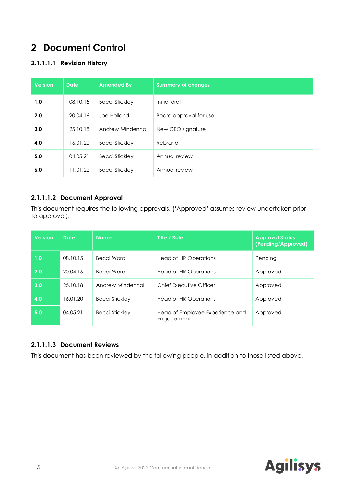### <span id="page-4-0"></span>**2 Document Control**

#### **2.1.1.1.1 Revision History**

| <b>Version</b> | <b>Date</b> | <b>Amended By</b>     | <b>Summary of changes</b> |
|----------------|-------------|-----------------------|---------------------------|
| 1.0            | 08.10.15    | <b>Becci Stickley</b> | Initial draft             |
| 2.0            | 20.04.16    | Joe Holland           | Board approval for use    |
| 3.0            | 25, 10, 18  | Andrew Mindenhall     | New CEO signature         |
| 4.0            | 16.01.20    | <b>Becci Stickley</b> | Rebrand                   |
| 5.0            | 04.05.21    | <b>Becci Stickley</b> | Annual review             |
| 6.0            | 11.01.22    | <b>Becci Stickley</b> | Annual review             |

#### **2.1.1.1.2 Document Approval**

This document requires the following approvals. ('Approved' assumes review undertaken prior to approval).

| <b>Version</b> | <b>Date</b> | <b>Name</b>           | Title / Role                                  | <b>Approval Status</b><br>(Pending/Approved) |
|----------------|-------------|-----------------------|-----------------------------------------------|----------------------------------------------|
| 1.0            | 08.10.15    | Becci Ward            | Head of HR Operations                         | Pending                                      |
| 2.0            | 20.04.16    | Becci Ward            | Head of HR Operations                         | Approved                                     |
| 3.0            | 25.10.18    | Andrew Mindenhall     | Chief Executive Officer                       | Approved                                     |
| 4.0            | 16.01.20    | <b>Becci Stickley</b> | Head of HR Operations                         | Approved                                     |
| 5.0            | 04.05.21    | <b>Becci Stickley</b> | Head of Employee Experience and<br>Engagement | Approved                                     |

#### **2.1.1.1.3 Document Reviews**

This document has been reviewed by the following people, in addition to those listed above.

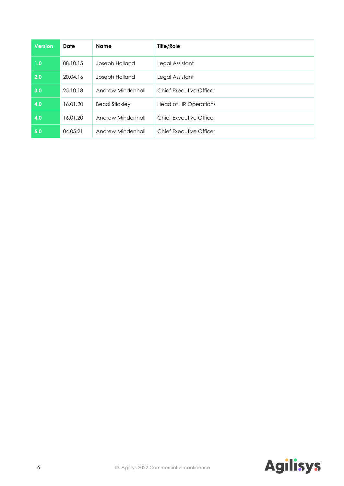| <b>Version</b> | Date     | <b>Name</b>           | Title/Role              |
|----------------|----------|-----------------------|-------------------------|
| 1.0            | 08.10.15 | Joseph Holland        | Legal Assistant         |
| 2.0            | 20.04.16 | Joseph Holland        | Legal Assistant         |
| 3.0            | 25.10.18 | Andrew Mindenhall     | Chief Executive Officer |
| 4.0            | 16.01.20 | <b>Becci Stickley</b> | Head of HR Operations   |
| 4.0            | 16.01.20 | Andrew Mindenhall     | Chief Executive Officer |
| 5.0            | 04.05.21 | Andrew Mindenhall     | Chief Executive Officer |